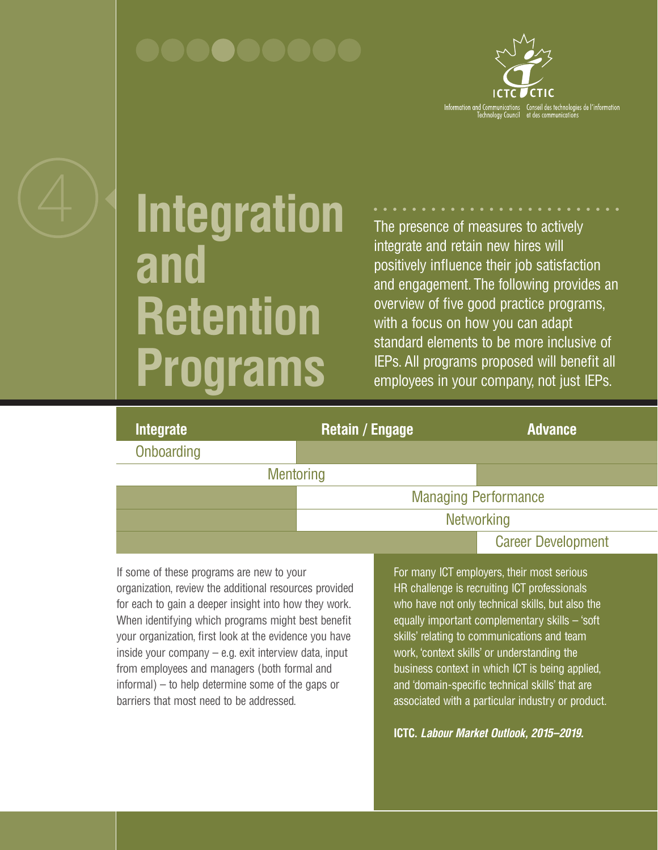

# **Integration and Retention Programs**

The presence of measures to actively integrate and retain new hires will positively influence their job satisfaction and engagement. The following provides an overview of five good practice programs, with a focus on how you can adapt standard elements to be more inclusive of IEPs. All programs proposed will benefit all employees in your company, not just IEPs.

| <b>Integrate</b> | <b>Retain / Engage</b> | <b>Advance</b>              |
|------------------|------------------------|-----------------------------|
| Onboarding       |                        |                             |
|                  | <b>Mentoring</b>       |                             |
|                  |                        | <b>Managing Performance</b> |
|                  |                        | <b>Networking</b>           |
|                  |                        | <b>Career Development</b>   |

If some of these programs are new to your organization, review the additional resources provided for each to gain a deeper insight into how they work. When identifying which programs might best benefit your organization, first look at the evidence you have inside your company – e.g. exit interview data, input from employees and managers (both formal and informal) – to help determine some of the gaps or barriers that most need to be addressed.

For many ICT employers, their most serious HR challenge is recruiting ICT professionals who have not only technical skills, but also the equally important complementary skills – 'soft skills' relating to communications and team work, 'context skills' or understanding the business context in which ICT is being applied, and 'domain-specific technical skills' that are associated with a particular industry or product.

**ICTC.** *Labour Market Outlook, 2015–2019.*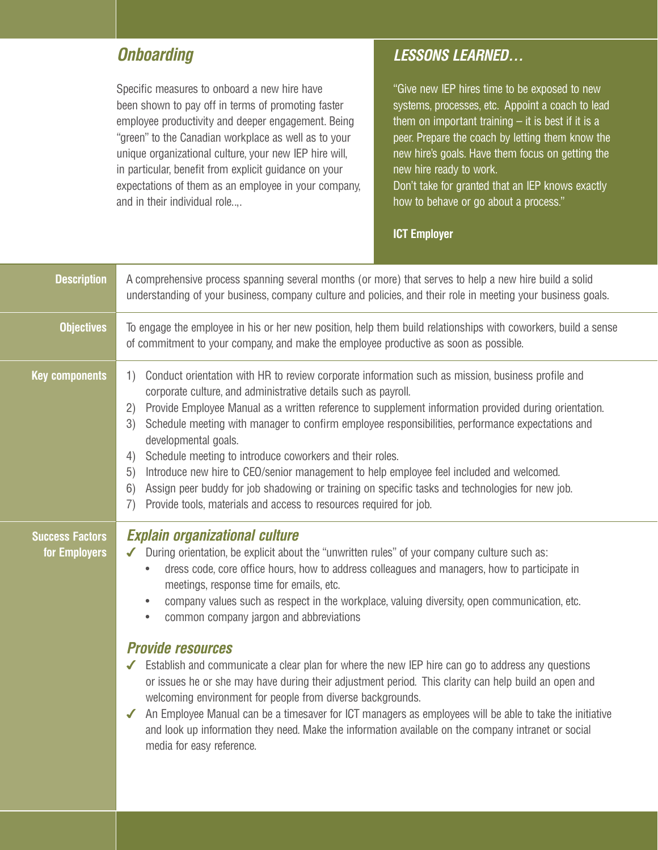# *Onboarding*

Specific measures to onboard a new hire have been shown to pay off in terms of promoting faster employee productivity and deeper engagement. Being "green" to the Canadian workplace as well as to your unique organizational culture, your new IEP hire will, in particular, benefit from explicit guidance on your expectations of them as an employee in your company, and in their individual role..,.

# *LESSONS LEARNED…*

"Give new IEP hires time to be exposed to new systems, processes, etc. Appoint a coach to lead them on important training  $-$  it is best if it is a peer. Prepare the coach by letting them know the new hire's goals. Have them focus on getting the new hire ready to work.

Don't take for granted that an IEP knows exactly how to behave or go about a process."

#### **ICT Employer**

| <b>Description</b>                      | A comprehensive process spanning several months (or more) that serves to help a new hire build a solid<br>understanding of your business, company culture and policies, and their role in meeting your business goals.                                                                                                                                                                                                                                                                                                                                                                                                                                                                                                                                                                                                                                                                                                                                                                          |
|-----------------------------------------|-------------------------------------------------------------------------------------------------------------------------------------------------------------------------------------------------------------------------------------------------------------------------------------------------------------------------------------------------------------------------------------------------------------------------------------------------------------------------------------------------------------------------------------------------------------------------------------------------------------------------------------------------------------------------------------------------------------------------------------------------------------------------------------------------------------------------------------------------------------------------------------------------------------------------------------------------------------------------------------------------|
| <b>Objectives</b>                       | To engage the employee in his or her new position, help them build relationships with coworkers, build a sense<br>of commitment to your company, and make the employee productive as soon as possible.                                                                                                                                                                                                                                                                                                                                                                                                                                                                                                                                                                                                                                                                                                                                                                                          |
| <b>Key components</b>                   | Conduct orientation with HR to review corporate information such as mission, business profile and<br>$\left( \left  \right  \right)$<br>corporate culture, and administrative details such as payroll.<br>Provide Employee Manual as a written reference to supplement information provided during orientation.<br>2)<br>Schedule meeting with manager to confirm employee responsibilities, performance expectations and<br>3)<br>developmental goals.<br>Schedule meeting to introduce coworkers and their roles.<br>4)<br>Introduce new hire to CEO/senior management to help employee feel included and welcomed.<br>5)<br>Assign peer buddy for job shadowing or training on specific tasks and technologies for new job.<br>6)<br>Provide tools, materials and access to resources required for job.<br>7)                                                                                                                                                                                |
| <b>Success Factors</b><br>for Employers | <b>Explain organizational culture</b><br>During orientation, be explicit about the "unwritten rules" of your company culture such as:<br>dress code, core office hours, how to address colleagues and managers, how to participate in<br>$\bullet$<br>meetings, response time for emails, etc.<br>company values such as respect in the workplace, valuing diversity, open communication, etc.<br>common company jargon and abbreviations<br><b>Provide resources</b><br>Establish and communicate a clear plan for where the new IEP hire can go to address any questions<br>or issues he or she may have during their adjustment period. This clarity can help build an open and<br>welcoming environment for people from diverse backgrounds.<br>An Employee Manual can be a timesaver for ICT managers as employees will be able to take the initiative<br>and look up information they need. Make the information available on the company intranet or social<br>media for easy reference. |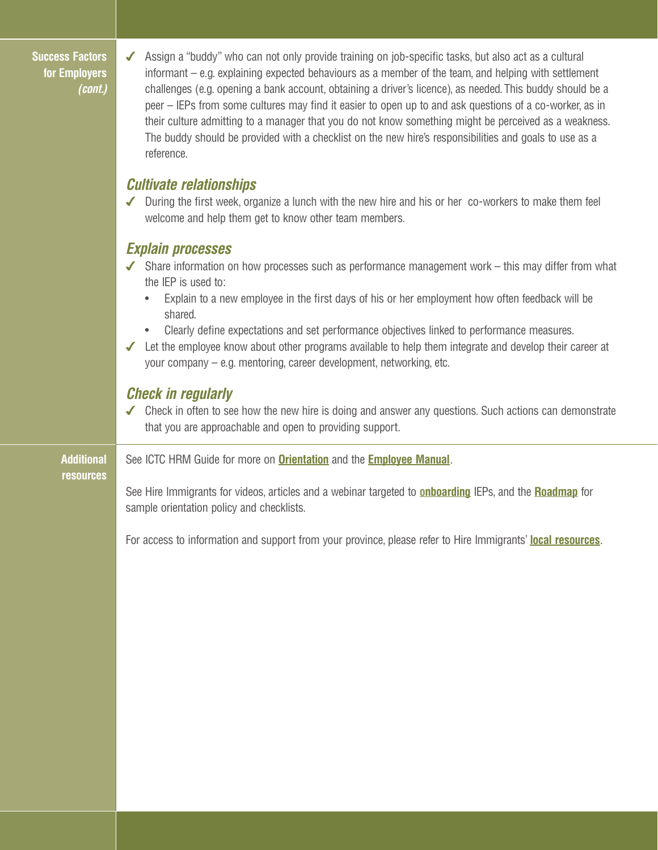**Success Factors for Employers** *(cont.)* 4 Assign a "buddy" who can not only provide training on job-specific tasks, but also act as a cultural informant – e.g. explaining expected behaviours as a member of the team, and helping with settlement challenges (e.g. opening a bank account, obtaining a driver's licence), as needed. This buddy should be a peer – IEPs from some cultures may find it easier to open up to and ask questions of a co-worker, as in their culture admitting to a manager that you do not know something might be perceived as a weakness. The buddy should be provided with a checklist on the new hire's responsibilities and goals to use as a reference.

### *Cultivate relationships*

 $\blacktriangledown$  During the first week, organize a lunch with the new hire and his or her co-workers to make them feel welcome and help them get to know other team members.

### *Explain processes*

- $\blacktriangleright$  Share information on how processes such as performance management work this may differ from what the IEP is used to:
	- Explain to a new employee in the first days of his or her employment how often feedback will be shared.
	- Clearly define expectations and set performance objectives linked to performance measures.
- $\blacktriangleright$  Let the employee know about other programs available to help them integrate and develop their career at your company – e.g. mentoring, career development, networking, etc.

## *Check in regularly*

 $\blacktriangledown$  Check in often to see how the new hire is doing and answer any questions. Such actions can demonstrate that you are approachable and open to providing support.

**Additional resources** See ICTC HRM Guide for more on **Orientation** and the **Employee Manual**.

> See Hire Immigrants for videos, articles and a webinar targeted to **onboarding** IEPs, and the **Roadmap** for sample orientation policy and checklists.

For access to information and support from your province, please refer to Hire Immigrants' **local resources**.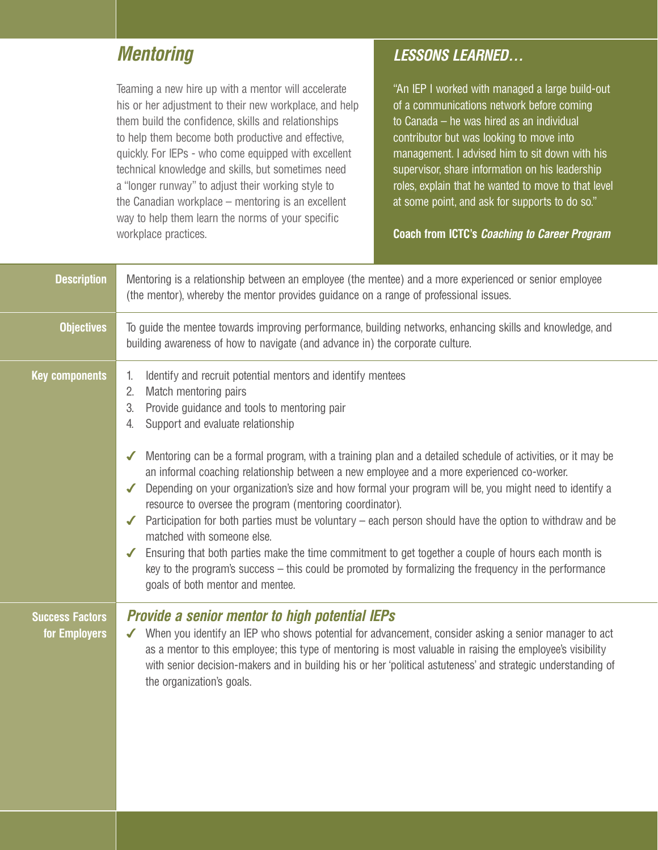# *Mentoring*

Teaming a new hire up with a mentor will accelerate his or her adjustment to their new workplace, and help them build the confidence, skills and relationships to help them become both productive and effective, quickly. For IEPs - who come equipped with excellent technical knowledge and skills, but sometimes need a "longer runway" to adjust their working style to the Canadian workplace – mentoring is an excellent way to help them learn the norms of your specific workplace practices.

# *LESSONS LEARNED…*

"An IEP I worked with managed a large build-out of a communications network before coming to Canada – he was hired as an individual contributor but was looking to move into management. I advised him to sit down with his supervisor, share information on his leadership roles, explain that he wanted to move to that level at some point, and ask for supports to do so."

#### **Coach from ICTC's** *Coaching to Career Program*

| <b>Description</b>                      | Mentoring is a relationship between an employee (the mentee) and a more experienced or senior employee<br>(the mentor), whereby the mentor provides guidance on a range of professional issues.                                                                                                                                                                                                                                                                                                                                                                                                                                                                                                                                                                                                                                                                                                                                                                                                   |
|-----------------------------------------|---------------------------------------------------------------------------------------------------------------------------------------------------------------------------------------------------------------------------------------------------------------------------------------------------------------------------------------------------------------------------------------------------------------------------------------------------------------------------------------------------------------------------------------------------------------------------------------------------------------------------------------------------------------------------------------------------------------------------------------------------------------------------------------------------------------------------------------------------------------------------------------------------------------------------------------------------------------------------------------------------|
| <b>Objectives</b>                       | To guide the mentee towards improving performance, building networks, enhancing skills and knowledge, and<br>building awareness of how to navigate (and advance in) the corporate culture.                                                                                                                                                                                                                                                                                                                                                                                                                                                                                                                                                                                                                                                                                                                                                                                                        |
| <b>Key components</b>                   | Identify and recruit potential mentors and identify mentees<br>1.<br>Match mentoring pairs<br>2.<br>Provide guidance and tools to mentoring pair<br>3.<br>Support and evaluate relationship<br>4.<br>Mentoring can be a formal program, with a training plan and a detailed schedule of activities, or it may be<br>an informal coaching relationship between a new employee and a more experienced co-worker.<br>Depending on your organization's size and how formal your program will be, you might need to identify a<br>$\sqrt{2}$<br>resource to oversee the program (mentoring coordinator).<br>Participation for both parties must be voluntary – each person should have the option to withdraw and be<br>matched with someone else.<br>Ensuring that both parties make the time commitment to get together a couple of hours each month is<br>key to the program's success – this could be promoted by formalizing the frequency in the performance<br>goals of both mentor and mentee. |
| <b>Success Factors</b><br>for Employers | <b>Provide a senior mentor to high potential IEPs</b><br>When you identify an IEP who shows potential for advancement, consider asking a senior manager to act<br>as a mentor to this employee; this type of mentoring is most valuable in raising the employee's visibility<br>with senior decision-makers and in building his or her 'political astuteness' and strategic understanding of<br>the organization's goals.                                                                                                                                                                                                                                                                                                                                                                                                                                                                                                                                                                         |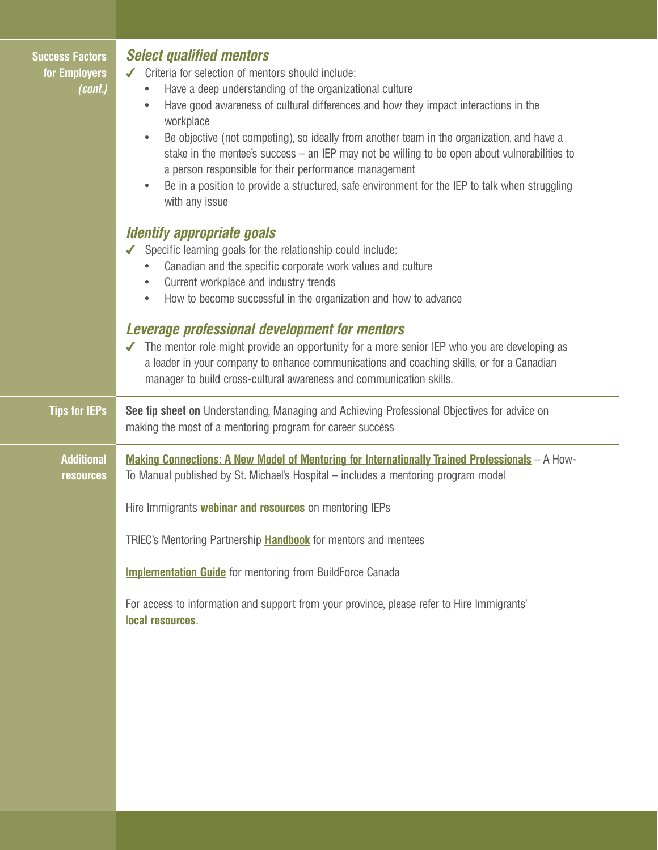| <b>Success Factors</b><br>for Employers<br>(cont.) | <b>Select qualified mentors</b><br>Criteria for selection of mentors should include:<br>Have a deep understanding of the organizational culture<br>$\bullet$<br>Have good awareness of cultural differences and how they impact interactions in the<br>$\bullet$<br>workplace<br>Be objective (not competing), so ideally from another team in the organization, and have a<br>$\bullet$<br>stake in the mentee's success $-$ an IEP may not be willing to be open about vulnerabilities to<br>a person responsible for their performance management<br>Be in a position to provide a structured, safe environment for the IEP to talk when struggling<br>$\bullet$<br>with any issue<br><b>Identify appropriate goals</b><br>Specific learning goals for the relationship could include:<br>Canadian and the specific corporate work values and culture<br>Current workplace and industry trends<br>$\bullet$<br>How to become successful in the organization and how to advance<br>$\bullet$ |
|----------------------------------------------------|------------------------------------------------------------------------------------------------------------------------------------------------------------------------------------------------------------------------------------------------------------------------------------------------------------------------------------------------------------------------------------------------------------------------------------------------------------------------------------------------------------------------------------------------------------------------------------------------------------------------------------------------------------------------------------------------------------------------------------------------------------------------------------------------------------------------------------------------------------------------------------------------------------------------------------------------------------------------------------------------|
|                                                    | Leverage professional development for mentors<br>The mentor role might provide an opportunity for a more senior IEP who you are developing as<br>a leader in your company to enhance communications and coaching skills, or for a Canadian<br>manager to build cross-cultural awareness and communication skills.                                                                                                                                                                                                                                                                                                                                                                                                                                                                                                                                                                                                                                                                              |
| <b>Tips for IEPs</b>                               | See tip sheet on Understanding, Managing and Achieving Professional Objectives for advice on<br>making the most of a mentoring program for career success                                                                                                                                                                                                                                                                                                                                                                                                                                                                                                                                                                                                                                                                                                                                                                                                                                      |
| <b>Additional</b><br><b>resources</b>              | Making Connections: A New Model of Mentoring for Internationally Trained Professionals - A How-<br>To Manual published by St. Michael's Hospital – includes a mentoring program model                                                                                                                                                                                                                                                                                                                                                                                                                                                                                                                                                                                                                                                                                                                                                                                                          |
|                                                    | Hire Immigrants <b>webinar and resources</b> on mentoring IEPs                                                                                                                                                                                                                                                                                                                                                                                                                                                                                                                                                                                                                                                                                                                                                                                                                                                                                                                                 |
|                                                    | TRIEC's Mentoring Partnership Handbook for mentors and mentees                                                                                                                                                                                                                                                                                                                                                                                                                                                                                                                                                                                                                                                                                                                                                                                                                                                                                                                                 |
|                                                    | <b>Implementation Guide</b> for mentoring from BuildForce Canada                                                                                                                                                                                                                                                                                                                                                                                                                                                                                                                                                                                                                                                                                                                                                                                                                                                                                                                               |
|                                                    | For access to information and support from your province, please refer to Hire Immigrants'<br>local resources.                                                                                                                                                                                                                                                                                                                                                                                                                                                                                                                                                                                                                                                                                                                                                                                                                                                                                 |
|                                                    |                                                                                                                                                                                                                                                                                                                                                                                                                                                                                                                                                                                                                                                                                                                                                                                                                                                                                                                                                                                                |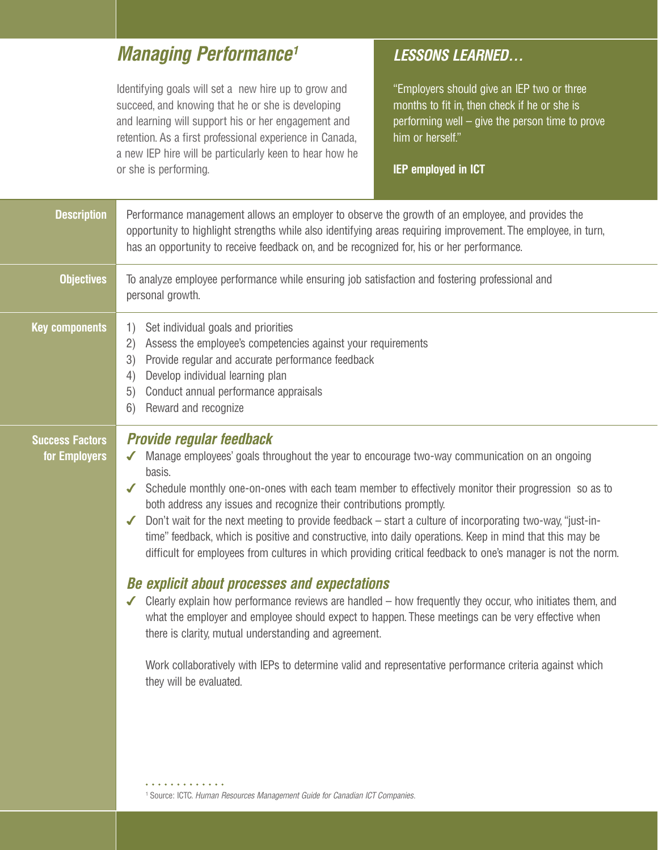# *Managing Performance1*

Identifying goals will set a new hire up to grow and succeed, and knowing that he or she is developing and learning will support his or her engagement and retention. As a first professional experience in Canada, a new IEP hire will be particularly keen to hear how he or she is performing.

# *LESSONS LEARNED…*

"Employers should give an IEP two or three months to fit in, then check if he or she is performing well – give the person time to prove him or herself."

**IEP employed in ICT**

| <b>Description</b>                      | Performance management allows an employer to observe the growth of an employee, and provides the<br>opportunity to highlight strengths while also identifying areas requiring improvement. The employee, in turn,<br>has an opportunity to receive feedback on, and be recognized for, his or her performance.                                                                                                                                                                                                                                                                                                                                                                                                                                                                                                                                                                                                                                                                                                                                                                                                                           |
|-----------------------------------------|------------------------------------------------------------------------------------------------------------------------------------------------------------------------------------------------------------------------------------------------------------------------------------------------------------------------------------------------------------------------------------------------------------------------------------------------------------------------------------------------------------------------------------------------------------------------------------------------------------------------------------------------------------------------------------------------------------------------------------------------------------------------------------------------------------------------------------------------------------------------------------------------------------------------------------------------------------------------------------------------------------------------------------------------------------------------------------------------------------------------------------------|
| <b>Objectives</b>                       | To analyze employee performance while ensuring job satisfaction and fostering professional and<br>personal growth.                                                                                                                                                                                                                                                                                                                                                                                                                                                                                                                                                                                                                                                                                                                                                                                                                                                                                                                                                                                                                       |
| <b>Key components</b>                   | Set individual goals and priorities<br>1)<br>Assess the employee's competencies against your requirements<br>2)<br>Provide regular and accurate performance feedback<br>3)<br>Develop individual learning plan<br>4)<br>Conduct annual performance appraisals<br>5)<br>Reward and recognize<br>6)                                                                                                                                                                                                                                                                                                                                                                                                                                                                                                                                                                                                                                                                                                                                                                                                                                        |
| <b>Success Factors</b><br>for Employers | <b>Provide regular feedback</b><br>Manage employees' goals throughout the year to encourage two-way communication on an ongoing<br>basis.<br>Schedule monthly one-on-ones with each team member to effectively monitor their progression so as to<br>both address any issues and recognize their contributions promptly.<br>Don't wait for the next meeting to provide feedback - start a culture of incorporating two-way, "just-in-<br>time" feedback, which is positive and constructive, into daily operations. Keep in mind that this may be<br>difficult for employees from cultures in which providing critical feedback to one's manager is not the norm.<br><b>Be explicit about processes and expectations</b><br>Clearly explain how performance reviews are handled - how frequently they occur, who initiates them, and<br>what the employer and employee should expect to happen. These meetings can be very effective when<br>there is clarity, mutual understanding and agreement.<br>Work collaboratively with IEPs to determine valid and representative performance criteria against which<br>they will be evaluated. |
|                                         |                                                                                                                                                                                                                                                                                                                                                                                                                                                                                                                                                                                                                                                                                                                                                                                                                                                                                                                                                                                                                                                                                                                                          |

1 Source: ICTC. *Human Resources Management Guide for Canadian ICT Companies*.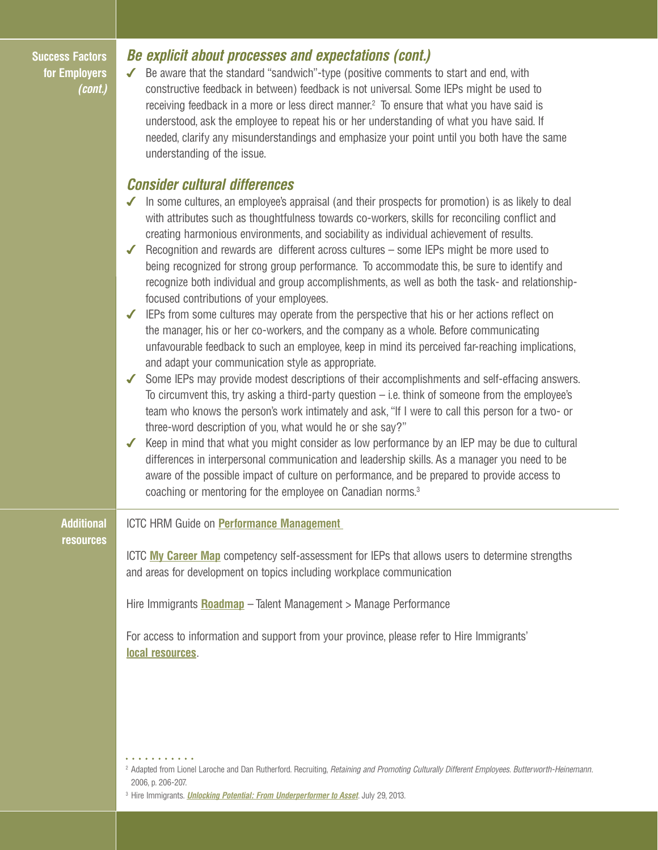**Success Factors for Employers** *(cont.)*

#### *Be explicit about processes and expectations (cont.)*

 $\blacktriangleright$  Be aware that the standard "sandwich"-type (positive comments to start and end, with constructive feedback in between) feedback is not universal. Some IEPs might be used to receiving feedback in a more or less direct manner.<sup>2</sup> To ensure that what you have said is understood, ask the employee to repeat his or her understanding of what you have said. If needed, clarify any misunderstandings and emphasize your point until you both have the same understanding of the issue.

#### *Consider cultural differences*

- 4 In some cultures, an employee's appraisal (and their prospects for promotion) is as likely to deal with attributes such as thoughtfulness towards co-workers, skills for reconciling conflict and creating harmonious environments, and sociability as individual achievement of results.
- 4 Recognition and rewards are different across cultures some IEPs might be more used to being recognized for strong group performance. To accommodate this, be sure to identify and recognize both individual and group accomplishments, as well as both the task- and relationshipfocused contributions of your employees.
- $\blacktriangleright$  IEPs from some cultures may operate from the perspective that his or her actions reflect on the manager, his or her co-workers, and the company as a whole. Before communicating unfavourable feedback to such an employee, keep in mind its perceived far-reaching implications, and adapt your communication style as appropriate.
- 4 Some IEPs may provide modest descriptions of their accomplishments and self-effacing answers. To circumvent this, try asking a third-party question – i.e. think of someone from the employee's team who knows the person's work intimately and ask, "If I were to call this person for a two- or three-word description of you, what would he or she say?"
- $\blacktriangleright$  Keep in mind that what you might consider as low performance by an IEP may be due to cultural differences in interpersonal communication and leadership skills. As a manager you need to be aware of the possible impact of culture on performance, and be prepared to provide access to coaching or mentoring for the employee on Canadian norms.3

#### **Additional resources**

ICTC HRM Guide on **Performance Management** 

ICTC **My Career Map** competency self-assessment for IEPs that allows users to determine strengths and areas for development on topics including workplace communication

Hire Immigrants **Roadmap** – Talent Management > Manage Performance

For access to information and support from your province, please refer to Hire Immigrants' **local resources**.

<sup>3</sup> Hire Immigrants. *Unlocking Potential: From Underperformer to Asset*. July 29, 2013.

<sup>2</sup> Adapted from Lionel Laroche and Dan Rutherford. Recruiting, *Retaining and Promoting Culturally Different Employees. Butterworth-Heinemann*. 2006, p. 206-207.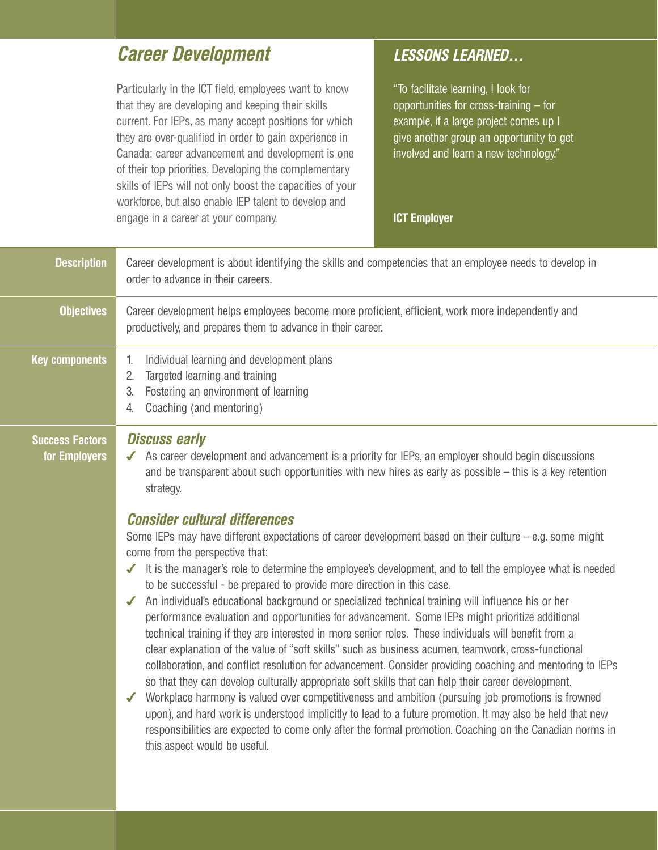# *Career Development*

Particularly in the ICT field, employees want to know that they are developing and keeping their skills current. For IEPs, as many accept positions for which they are over-qualified in order to gain experience in Canada; career advancement and development is one of their top priorities. Developing the complementary skills of IEPs will not only boost the capacities of your workforce, but also enable IEP talent to develop and engage in a career at your company.

# *LESSONS LEARNED…*

"To facilitate learning, I look for opportunities for cross-training – for example, if a large project comes up I give another group an opportunity to get involved and learn a new technology."

#### **ICT Employer**

| <b>Description</b>                      | Career development is about identifying the skills and competencies that an employee needs to develop in<br>order to advance in their careers.                                                                                                                                                                                                                                                                                                                                                                                                                                                                                                                                                                                                                                                                                                                                                                                                                                                                                                                                                                                                                                                                                                                                                                                                                                                                                                                                                                                                                                                                                                                  |
|-----------------------------------------|-----------------------------------------------------------------------------------------------------------------------------------------------------------------------------------------------------------------------------------------------------------------------------------------------------------------------------------------------------------------------------------------------------------------------------------------------------------------------------------------------------------------------------------------------------------------------------------------------------------------------------------------------------------------------------------------------------------------------------------------------------------------------------------------------------------------------------------------------------------------------------------------------------------------------------------------------------------------------------------------------------------------------------------------------------------------------------------------------------------------------------------------------------------------------------------------------------------------------------------------------------------------------------------------------------------------------------------------------------------------------------------------------------------------------------------------------------------------------------------------------------------------------------------------------------------------------------------------------------------------------------------------------------------------|
| <b>Objectives</b>                       | Career development helps employees become more proficient, efficient, work more independently and<br>productively, and prepares them to advance in their career.                                                                                                                                                                                                                                                                                                                                                                                                                                                                                                                                                                                                                                                                                                                                                                                                                                                                                                                                                                                                                                                                                                                                                                                                                                                                                                                                                                                                                                                                                                |
| <b>Key components</b>                   | Individual learning and development plans<br>1.<br>Targeted learning and training<br>2.<br>Fostering an environment of learning<br>3.<br>Coaching (and mentoring)<br>4.                                                                                                                                                                                                                                                                                                                                                                                                                                                                                                                                                                                                                                                                                                                                                                                                                                                                                                                                                                                                                                                                                                                                                                                                                                                                                                                                                                                                                                                                                         |
| <b>Success Factors</b><br>for Employers | <b>Discuss early</b><br>◆ As career development and advancement is a priority for IEPs, an employer should begin discussions<br>and be transparent about such opportunities with new hires as early as possible – this is a key retention<br>strategy.<br><b>Consider cultural differences</b><br>Some IEPs may have different expectations of career development based on their culture $-$ e.g. some might<br>come from the perspective that:<br>It is the manager's role to determine the employee's development, and to tell the employee what is needed<br>to be successful - be prepared to provide more direction in this case.<br>An individual's educational background or specialized technical training will influence his or her<br>$\sqrt{2}$<br>performance evaluation and opportunities for advancement. Some IEPs might prioritize additional<br>technical training if they are interested in more senior roles. These individuals will benefit from a<br>clear explanation of the value of "soft skills" such as business acumen, teamwork, cross-functional<br>collaboration, and conflict resolution for advancement. Consider providing coaching and mentoring to IEPs<br>so that they can develop culturally appropriate soft skills that can help their career development.<br>Workplace harmony is valued over competitiveness and ambition (pursuing job promotions is frowned<br>upon), and hard work is understood implicitly to lead to a future promotion. It may also be held that new<br>responsibilities are expected to come only after the formal promotion. Coaching on the Canadian norms in<br>this aspect would be useful. |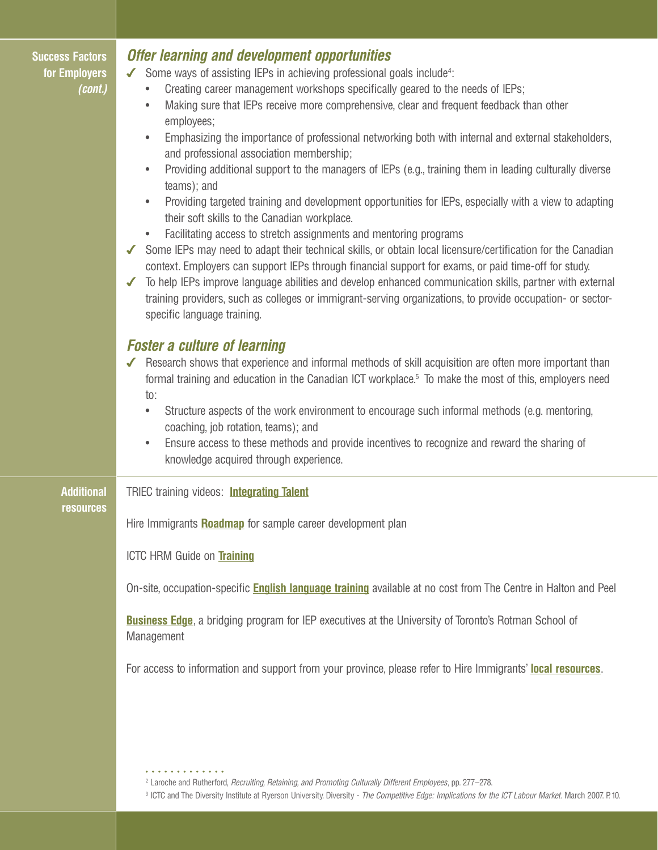| <b>Success Factors</b><br>for Employers<br>(cont.) | Offer learning and development opportunities<br>Some ways of assisting IEPs in achieving professional goals include <sup>4</sup> :<br>Creating career management workshops specifically geared to the needs of IEPs;<br>$\bullet$<br>Making sure that IEPs receive more comprehensive, clear and frequent feedback than other<br>$\bullet$<br>employees;<br>Emphasizing the importance of professional networking both with internal and external stakeholders,<br>$\bullet$<br>and professional association membership;<br>Providing additional support to the managers of IEPs (e.g., training them in leading culturally diverse<br>$\bullet$<br>teams); and<br>Providing targeted training and development opportunities for IEPs, especially with a view to adapting<br>$\bullet$<br>their soft skills to the Canadian workplace.<br>Facilitating access to stretch assignments and mentoring programs<br>$\bullet$<br>Some IEPs may need to adapt their technical skills, or obtain local licensure/certification for the Canadian<br>context. Employers can support IEPs through financial support for exams, or paid time-off for study.<br>To help IEPs improve language abilities and develop enhanced communication skills, partner with external<br>$\sqrt{2}$<br>training providers, such as colleges or immigrant-serving organizations, to provide occupation- or sector-<br>specific language training.<br><b>Foster a culture of learning</b><br>Research shows that experience and informal methods of skill acquisition are often more important than<br>$\sqrt{2}$<br>formal training and education in the Canadian ICT workplace. <sup>5</sup> To make the most of this, employers need<br>to:<br>Structure aspects of the work environment to encourage such informal methods (e.g. mentoring,<br>$\bullet$<br>coaching, job rotation, teams); and<br>Ensure access to these methods and provide incentives to recognize and reward the sharing of<br>$\bullet$<br>knowledge acquired through experience. |
|----------------------------------------------------|---------------------------------------------------------------------------------------------------------------------------------------------------------------------------------------------------------------------------------------------------------------------------------------------------------------------------------------------------------------------------------------------------------------------------------------------------------------------------------------------------------------------------------------------------------------------------------------------------------------------------------------------------------------------------------------------------------------------------------------------------------------------------------------------------------------------------------------------------------------------------------------------------------------------------------------------------------------------------------------------------------------------------------------------------------------------------------------------------------------------------------------------------------------------------------------------------------------------------------------------------------------------------------------------------------------------------------------------------------------------------------------------------------------------------------------------------------------------------------------------------------------------------------------------------------------------------------------------------------------------------------------------------------------------------------------------------------------------------------------------------------------------------------------------------------------------------------------------------------------------------------------------------------------------------------------------------------------------------------------------------------------------------------|
| <b>Additional</b><br>resources                     | TRIEC training videos: <b>Integrating Talent</b><br>Hire Immigrants <b>Roadmap</b> for sample career development plan<br>ICTC HRM Guide on Training<br>On-site, occupation-specific <b>English language training</b> available at no cost from The Centre in Halton and Peel<br><b>Business Edge</b> , a bridging program for IEP executives at the University of Toronto's Rotman School of<br>Management<br>For access to information and support from your province, please refer to Hire Immigrants' local resources.                                                                                                                                                                                                                                                                                                                                                                                                                                                                                                                                                                                                                                                                                                                                                                                                                                                                                                                                                                                                                                                                                                                                                                                                                                                                                                                                                                                                                                                                                                       |

2 Laroche and Rutherford, *Recruiting, Retaining, and Promoting Culturally Different Employees*, pp. 277–278.

3 ICTC and The Diversity Institute at Ryerson University. Diversity - *The Competitive Edge: Implications for the ICT Labour Market*. March 2007. P. 10.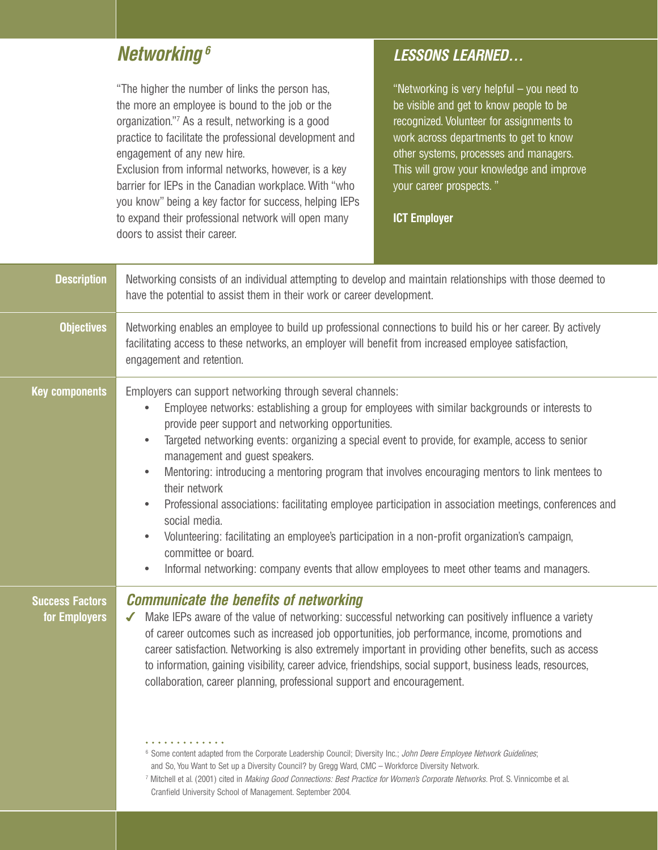# *Networking 6*

"The higher the number of links the person has, the more an employee is bound to the job or the organization."7 As a result, networking is a good practice to facilitate the professional development and engagement of any new hire.

Exclusion from informal networks, however, is a key barrier for IEPs in the Canadian workplace. With "who you know" being a key factor for success, helping IEPs to expand their professional network will open many doors to assist their career.

# *LESSONS LEARNED…*

"Networking is very helpful – you need to be visible and get to know people to be recognized. Volunteer for assignments to work across departments to get to know other systems, processes and managers. This will grow your knowledge and improve your career prospects. "

**ICT Employer**

| <b>Description</b>                      | Networking consists of an individual attempting to develop and maintain relationships with those deemed to<br>have the potential to assist them in their work or career development.                                                                                                                                                                                                                                                                                                                                                                                                                                                                                                                                                                                                                                                                                                                                                                      |
|-----------------------------------------|-----------------------------------------------------------------------------------------------------------------------------------------------------------------------------------------------------------------------------------------------------------------------------------------------------------------------------------------------------------------------------------------------------------------------------------------------------------------------------------------------------------------------------------------------------------------------------------------------------------------------------------------------------------------------------------------------------------------------------------------------------------------------------------------------------------------------------------------------------------------------------------------------------------------------------------------------------------|
| <b>Objectives</b>                       | Networking enables an employee to build up professional connections to build his or her career. By actively<br>facilitating access to these networks, an employer will benefit from increased employee satisfaction,<br>engagement and retention.                                                                                                                                                                                                                                                                                                                                                                                                                                                                                                                                                                                                                                                                                                         |
| <b>Key components</b>                   | Employers can support networking through several channels:<br>Employee networks: establishing a group for employees with similar backgrounds or interests to<br>provide peer support and networking opportunities.<br>Targeted networking events: organizing a special event to provide, for example, access to senior<br>$\bullet$<br>management and guest speakers.<br>Mentoring: introducing a mentoring program that involves encouraging mentors to link mentees to<br>$\bullet$<br>their network<br>Professional associations: facilitating employee participation in association meetings, conferences and<br>$\bullet$<br>social media.<br>Volunteering: facilitating an employee's participation in a non-profit organization's campaign,<br>committee or board.<br>Informal networking: company events that allow employees to meet other teams and managers.<br>$\bullet$                                                                      |
| <b>Success Factors</b><br>for Employers | <b>Communicate the benefits of networking</b><br>Make IEPs aware of the value of networking: successful networking can positively influence a variety<br>of career outcomes such as increased job opportunities, job performance, income, promotions and<br>career satisfaction. Networking is also extremely important in providing other benefits, such as access<br>to information, gaining visibility, career advice, friendships, social support, business leads, resources,<br>collaboration, career planning, professional support and encouragement.<br><sup>6</sup> Some content adapted from the Corporate Leadership Council; Diversity Inc.; John Deere Employee Network Guidelines;<br>and So, You Want to Set up a Diversity Council? by Gregg Ward, CMC - Workforce Diversity Network.<br><sup>7</sup> Mitchell at al (2001) cited in <i>Making Good Connections: Rest Practice for Women's Cornorate Natworks Prof S Vinnisombe at al</i> |

 Mitchell et al. (2001) cited in *Making Good Connections: Best Practice for Women's Corporate Networks*. Prof. S. Vinnicombe et al. Cranfield University School of Management. September 2004.